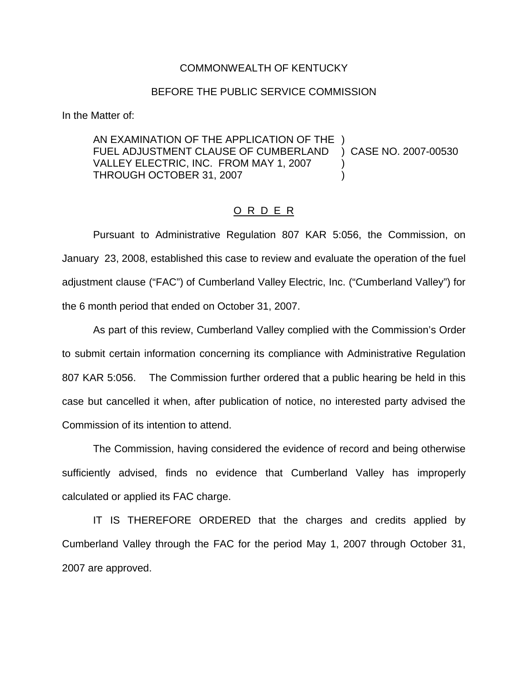## COMMONWEALTH OF KENTUCKY

## BEFORE THE PUBLIC SERVICE COMMISSION

In the Matter of:

AN EXAMINATION OF THE APPLICATION OF THE ) FUEL ADJUSTMENT CLAUSE OF CUMBERLAND ) CASE NO. 2007-00530 VALLEY ELECTRIC, INC. FROM MAY 1, 2007 THROUGH OCTOBER 31, 2007 (2007)

## O R D E R

Pursuant to Administrative Regulation 807 KAR 5:056, the Commission, on January 23, 2008, established this case to review and evaluate the operation of the fuel adjustment clause ("FAC") of Cumberland Valley Electric, Inc. ("Cumberland Valley") for the 6 month period that ended on October 31, 2007.

As part of this review, Cumberland Valley complied with the Commission's Order to submit certain information concerning its compliance with Administrative Regulation 807 KAR 5:056. The Commission further ordered that a public hearing be held in this case but cancelled it when, after publication of notice, no interested party advised the Commission of its intention to attend.

The Commission, having considered the evidence of record and being otherwise sufficiently advised, finds no evidence that Cumberland Valley has improperly calculated or applied its FAC charge.

IT IS THEREFORE ORDERED that the charges and credits applied by Cumberland Valley through the FAC for the period May 1, 2007 through October 31, 2007 are approved.